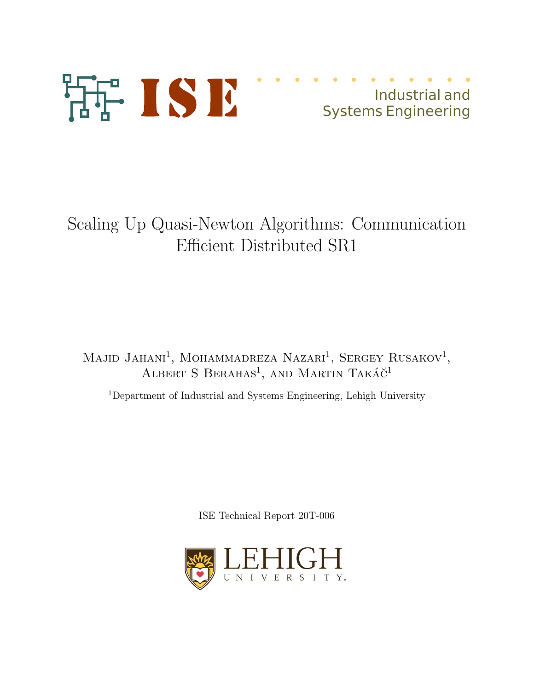

Scaling Up Quasi-Newton Algorithms: Communication Efficient Distributed SR1

Majid Jahani<sup>1</sup>, Mohammadreza Nazari<sup>1</sup>, Sergey Rusakov<sup>1</sup>, ALBERT S BERAHAS<sup>1</sup>, AND MARTIN TAKÁČ<sup>1</sup>

<sup>1</sup>Department of Industrial and Systems Engineering, Lehigh University

ISE Technical Report 20T-006

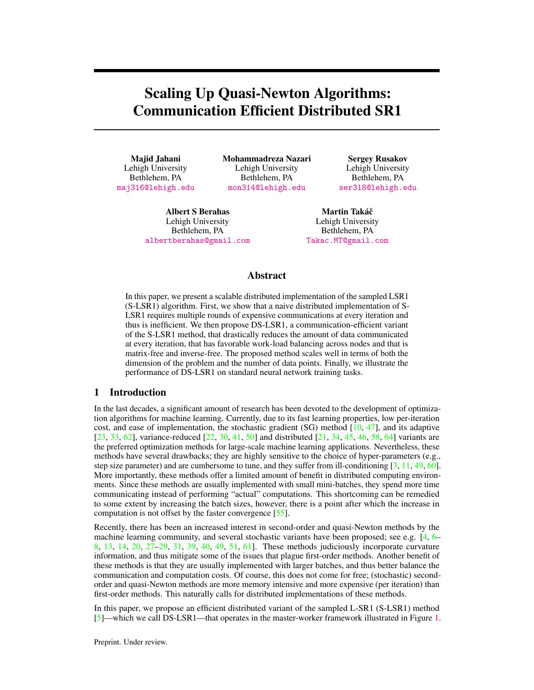# Scaling Up Quasi-Newton Algorithms: Communication Efficient Distributed SR1

Majid Jahani Lehigh University Bethlehem, PA maj316@lehigh.edu

Mohammadreza Nazari Lehigh University Bethlehem, PA mon314@lehigh.edu

Albert S Berahas Lehigh University Bethlehem, PA albertberahas@gmail.com

Sergey Rusakov Lehigh University Bethlehem, PA ser318@lehigh.edu

Martin Takáč Lehigh University Bethlehem, PA Takac.MT@gmail.com

## Abstract

In this paper, we present a scalable distributed implementation of the sampled LSR1 (S-LSR1) algorithm. First, we show that a naive distributed implementation of S-LSR1 requires multiple rounds of expensive communications at every iteration and thus is inefficient. We then propose DS-LSR1, a communication-efficient variant of the S-LSR1 method, that drastically reduces the amount of data communicated at every iteration, that has favorable work-load balancing across nodes and that is matrix-free and inverse-free. The proposed method scales well in terms of both the dimension of the problem and the number of data points. Finally, we illustrate the performance of DS-LSR1 on standard neural network training tasks.

## 1 Introduction

In the last decades, a significant amount of research has been devoted to the development of optimization algorithms for machine learning. Currently, due to its fast learning properties, low per-iteration cost, and ease of implementation, the stochastic gradient (SG) method  $[10, 47]$ , and its adaptive [23, 33, 62], variance-reduced [22, 30, 41, 50] and distributed [21, 34, 45, 46, 58, 64] variants are the preferred optimization methods for large-scale machine learning applications. Nevertheless, these methods have several drawbacks; they are highly sensitive to the choice of hyper-parameters (e.g., step size parameter) and are cumbersome to tune, and they suffer from ill-conditioning [3, 11, 49, 60]. More importantly, these methods offer a limited amount of benefit in distributed computing environments. Since these methods are usually implemented with small mini-batches, they spend more time communicating instead of performing "actual" computations. This shortcoming can be remedied to some extent by increasing the batch sizes, however, there is a point after which the increase in computation is not offset by the faster convergence [55].

Recently, there has been an increased interest in second-order and quasi-Newton methods by the machine learning community, and several stochastic variants have been proposed; see e.g. [4, 6– 8, 13, 14, 20, 27–29, 31, 39, 40, 49, 51, 61]. These methods judiciously incorporate curvature information, and thus mitigate some of the issues that plague first-order methods. Another benefit of these methods is that they are usually implemented with larger batches, and thus better balance the communication and computation costs. Of course, this does not come for free; (stochastic) secondorder and quasi-Newton methods are more memory intensive and more expensive (per iteration) than first-order methods. This naturally calls for distributed implementations of these methods.

In this paper, we propose an efficient distributed variant of the sampled L-SR1 (S-LSR1) method [5]—which we call DS-LSR1—that operates in the master-worker framework illustrated in Figure 1.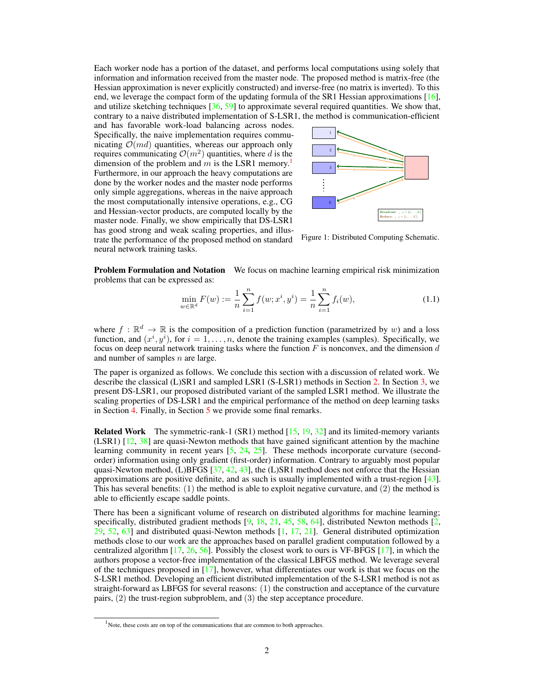Each worker node has a portion of the dataset, and performs local computations using solely that information and information received from the master node. The proposed method is matrix-free (the Hessian approximation is never explicitly constructed) and inverse-free (no matrix is inverted). To this end, we leverage the compact form of the updating formula of the SR1 Hessian approximations [16], and utilize sketching techniques  $[36, 59]$  to approximate several required quantities. We show that, contrary to a naive distributed implementation of S-LSR1, the method is communication-efficient

and has favorable work-load balancing across nodes. Specifically, the naive implementation requires communicating  $\mathcal{O}(md)$  quantities, whereas our approach only requires communicating  $\mathcal{O}(m^2)$  quantities, where d is the dimension of the problem and m is the LSR1 memory.<sup>1</sup> Furthermore, in our approach the heavy computations are done by the worker nodes and the master node performs only simple aggregations, whereas in the naive approach the most computationally intensive operations, e.g., CG and Hessian-vector products, are computed locally by the master node. Finally, we show empirically that DS-LSR1 has good strong and weak scaling properties, and illus-



Figure 1: Distributed Computing Schematic. trate the performance of the proposed method on standard neural network training tasks.

Problem Formulation and Notation We focus on machine learning empirical risk minimization problems that can be expressed as:

$$
\min_{w \in \mathbb{R}^d} F(w) := \frac{1}{n} \sum_{i=1}^n f(w; x^i, y^i) = \frac{1}{n} \sum_{i=1}^n f_i(w), \tag{1.1}
$$

where  $f : \mathbb{R}^d \to \mathbb{R}$  is the composition of a prediction function (parametrized by w) and a loss function, and  $(x^i, y^i)$ , for  $i = 1, \ldots, n$ , denote the training examples (samples). Specifically, we focus on deep neural network training tasks where the function  $F$  is nonconvex, and the dimension  $d$ and number of samples n are large.

The paper is organized as follows. We conclude this section with a discussion of related work. We describe the classical (L)SR1 and sampled LSR1 (S-LSR1) methods in Section 2. In Section 3, we present DS-LSR1, our proposed distributed variant of the sampled LSR1 method. We illustrate the scaling properties of DS-LSR1 and the empirical performance of the method on deep learning tasks in Section 4. Finally, in Section 5 we provide some final remarks.

Related Work The symmetric-rank-1 (SR1) method [15, 19, 32] and its limited-memory variants  $(LSR1)$  [12, 38] are quasi-Newton methods that have gained significant attention by the machine learning community in recent years [5, 24, 25]. These methods incorporate curvature (secondorder) information using only gradient (first-order) information. Contrary to arguably most popular quasi-Newton method, (L)BFGS [37, 42, 43], the (L)SR1 method does not enforce that the Hessian approximations are positive definite, and as such is usually implemented with a trust-region [43]. This has several benefits: (1) the method is able to exploit negative curvature, and (2) the method is able to efficiently escape saddle points.

There has been a significant volume of research on distributed algorithms for machine learning; specifically, distributed gradient methods  $[9, 18, 21, 45, 58, 64]$ , distributed Newton methods  $[2, 18, 21, 45, 58, 64]$  $29, 52, 63$  and distributed quasi-Newton methods  $\begin{bmatrix} 1, 17, 21 \end{bmatrix}$ . General distributed optimization methods close to our work are the approaches based on parallel gradient computation followed by a centralized algorithm  $[17, 26, 56]$ . Possibly the closest work to ours is VF-BFGS  $[17]$ , in which the authors propose a vector-free implementation of the classical LBFGS method. We leverage several of the techniques proposed in [17], however, what differentiates our work is that we focus on the S-LSR1 method. Developing an efficient distributed implementation of the S-LSR1 method is not as straight-forward as LBFGS for several reasons: (1) the construction and acceptance of the curvature pairs, (2) the trust-region subproblem, and (3) the step acceptance procedure.

 $<sup>1</sup>$  Note, these costs are on top of the communications that are common to both approaches.</sup>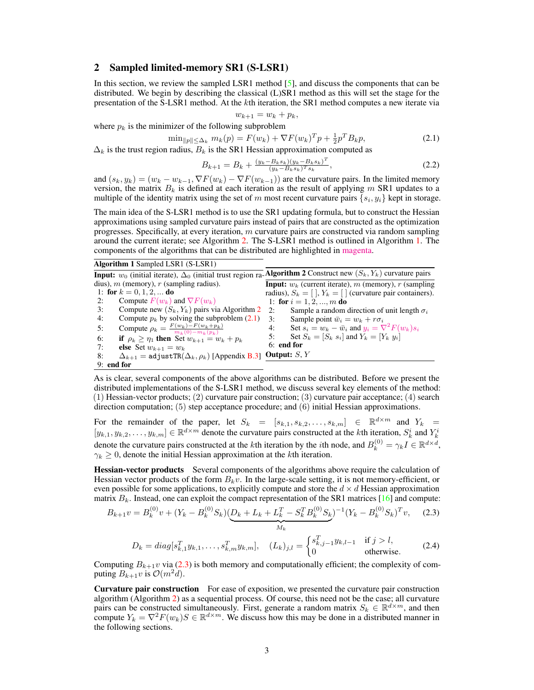## 2 Sampled limited-memory SR1 (S-LSR1)

In this section, we review the sampled LSR1 method [5], and discuss the components that can be distributed. We begin by describing the classical (L)SR1 method as this will set the stage for the presentation of the S-LSR1 method. At the kth iteration, the SR1 method computes a new iterate via

$$
w_{k+1} = w_k + p_k,
$$

where  $p_k$  is the minimizer of the following subproblem

$$
\min_{\|p\| \le \Delta_k} m_k(p) = F(w_k) + \nabla F(w_k)^T p + \frac{1}{2} p^T B_k p, \tag{2.1}
$$

 $\Delta_k$  is the trust region radius,  $B_k$  is the SR1 Hessian approximation computed as

$$
B_{k+1} = B_k + \frac{(y_k - B_k s_k)(y_k - B_k s_k)^T}{(y_k - B_k s_k)^T s_k},
$$
\n(2.2)

and  $(s_k, y_k) = (w_k - w_{k-1}, \nabla F(w_k) - \nabla F(w_{k-1}))$  are the curvature pairs. In the limited memory version, the matrix  $B_k$  is defined at each iteration as the result of applying m SR1 updates to a multiple of the identity matrix using the set of m most recent curvature pairs  $\{s_i, y_i\}$  kept in storage.

The main idea of the S-LSR1 method is to use the SR1 updating formula, but to construct the Hessian approximations using sampled curvature pairs instead of pairs that are constructed as the optimization progresses. Specifically, at every iteration, m curvature pairs are constructed via random sampling around the current iterate; see Algorithm 2. The S-LSR1 method is outlined in Algorithm 1. The components of the algorithms that can be distributed are highlighted in magenta.

Algorithm 1 Sampled LSR1 (S-LSR1)

|                                                                          | Input: $w_0$ (initial iterate), $\Delta_0$ (initial trust region ra-Algorithm 2 Construct new $(S_k, Y_k)$ curvature pairs |
|--------------------------------------------------------------------------|----------------------------------------------------------------------------------------------------------------------------|
| dius), m (memory), r (sampling radius).                                  | <b>Input:</b> $w_k$ (current iterate), m (memory), r (sampling                                                             |
| 1: for $k = 0, 1, 2, $ do                                                | radius), $S_k = [ \cdot ]$ , $Y_k = [ \cdot ]$ (curvature pair containers).                                                |
| Compute $F(w_k)$ and $\nabla F(w_k)$<br>2:                               | 1: for $i = 1, 2, , m$ do                                                                                                  |
| Compute new $(S_k, Y_k)$ pairs via Algorithm 2<br>3:                     | 2:<br>Sample a random direction of unit length $\sigma_i$                                                                  |
| Compute $p_k$ by solving the subproblem (2.1)<br>4:                      | 3:<br>Sample point $\bar{w}_i = w_k + r \sigma_i$                                                                          |
| Compute $\rho_k = \frac{F(w_k) - F(w_k + p_k)}{m_k(0) - m_k(p_k)}$<br>5: | Set $s_i = w_k - \bar{w}_i$ and $y_i = \nabla^2 F(w_k) s_i$<br>4:                                                          |
| 6:<br>if $\rho_k \geq \eta_1$ then Set $w_{k+1} = w_k + p_k$             | Set $S_k = [S_k s_i]$ and $Y_k = [Y_k y_i]$<br>5:                                                                          |
| 7:<br><b>else</b> Set $w_{k+1} = w_k$                                    | $6:$ end for                                                                                                               |
| $\Delta_{k+1} =$ adjust TR $(\Delta_k, \rho_k)$ [Appendix B.3]<br>8:     | Output: $S, Y$                                                                                                             |
| $9:$ end for                                                             |                                                                                                                            |

As is clear, several components of the above algorithms can be distributed. Before we present the distributed implementations of the S-LSR1 method, we discuss several key elements of the method: (1) Hessian-vector products; (2) curvature pair construction; (3) curvature pair acceptance; (4) search direction computation; (5) step acceptance procedure; and (6) initial Hessian approximations.

For the remainder of the paper, let  $S_k = [s_{k,1}, s_{k,2}, \ldots, s_{k,m}] \in \mathbb{R}^{d \times m}$  and  $Y_k =$  $[y_{k,1}, y_{k,2}, \ldots, y_{k,m}] \in \mathbb{R}^{d \times m}$  denote the curvature pairs constructed at the kth iteration,  $S_k^i$  and  $Y_k^i$ denote the curvature pairs constructed at the kth iteration by the *i*th node, and  $B_k^{(0)} = \gamma_k I \in \mathbb{R}^{d \times d}$ ,  $\gamma_k \geq 0$ , denote the initial Hessian approximation at the kth iteration.

Hessian-vector products Several components of the algorithms above require the calculation of Hessian vector products of the form  $B_kv$ . In the large-scale setting, it is not memory-efficient, or even possible for some applications, to explicitly compute and store the  $d \times d$  Hessian approximation matrix  $B_k$ . Instead, one can exploit the compact representation of the SR1 matrices [16] and compute:

$$
B_{k+1}v = B_k^{(0)}v + (Y_k - B_k^{(0)}S_k)(\underbrace{D_k + L_k + L_k^T - S_k^T B_k^{(0)}S_k}_{M_k})^{-1}(Y_k - B_k^{(0)}S_k)^T v, \quad (2.3)
$$

$$
D_k = diag[s_{k,1}^T y_{k,1}, \dots, s_{k,m}^T y_{k,m}], \quad (L_k)_{j,l} = \begin{cases} s_{k,j-1}^T y_{k,l-1} & \text{if } j > l, \\ 0 & \text{otherwise.} \end{cases} \tag{2.4}
$$

Computing  $B_{k+1}v$  via (2.3) is both memory and computationally efficient; the complexity of computing  $B_{k+1}v$  is  $\mathcal{O}(m^2d)$ .

Curvature pair construction For ease of exposition, we presented the curvature pair construction algorithm (Algorithm 2) as a sequential process. Of course, this need not be the case; all curvature pairs can be constructed simultaneously. First, generate a random matrix  $S_k \in \mathbb{R}^{d \times m}$ , and then compute  $Y_k = \nabla^2 F(w_k) S \in \mathbb{R}^{d \times m}$ . We discuss how this may be done in a distributed manner in the following sections.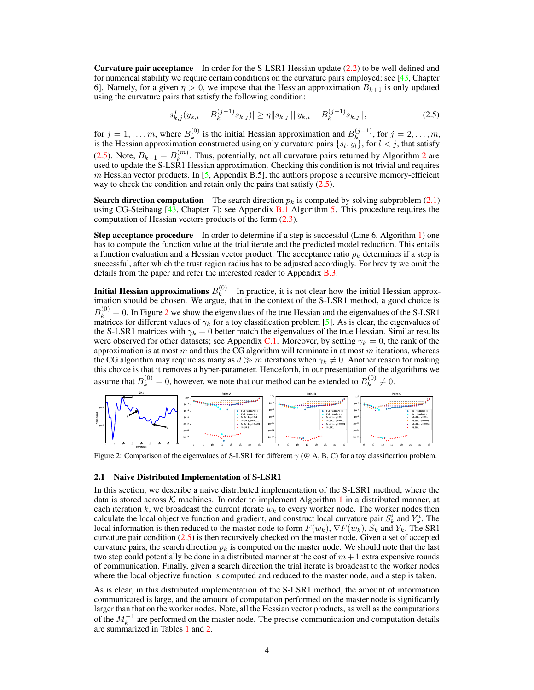Curvature pair acceptance In order for the S-LSR1 Hessian update (2.2) to be well defined and for numerical stability we require certain conditions on the curvature pairs employed; see [43, Chapter 6]. Namely, for a given  $\eta > 0$ , we impose that the Hessian approximation  $B_{k+1}$  is only updated using the curvature pairs that satisfy the following condition:

$$
|s_{k,j}^T(y_{k,i} - B_k^{(j-1)} s_{k,j})| \ge \eta \|s_{k,j}\| \|y_{k,i} - B_k^{(j-1)} s_{k,j}\|,
$$
\n(2.5)

for  $j = 1, \ldots, m$ , where  $B_k^{(0)}$  $k_k^{(0)}$  is the initial Hessian approximation and  $B_k^{(j-1)}$ , for  $j = 2, \ldots, m$ , is the Hessian approximation constructed using only curvature pairs  $\{s_l, y_l\}$ , for  $l < j$ , that satisfy (2.5). Note,  $B_{k+1} = B_k^{(m)}$  $k$ <sup>(*m*)</sup>. Thus, potentially, not all curvature pairs returned by Algorithm 2 are used to update the S-LSR1 Hessian approximation. Checking this condition is not trivial and requires  $m$  Hessian vector products. In [5, Appendix B.5], the authors propose a recursive memory-efficient way to check the condition and retain only the pairs that satisfy  $(2.5)$ .

**Search direction computation** The search direction  $p_k$  is computed by solving subproblem (2.1) using CG-Steihaug [43, Chapter 7]; see Appendix B.1 Algorithm 5. This procedure requires the computation of Hessian vectors products of the form (2.3).

Step acceptance procedure In order to determine if a step is successful (Line 6, Algorithm 1) one has to compute the function value at the trial iterate and the predicted model reduction. This entails a function evaluation and a Hessian vector product. The acceptance ratio  $\rho_k$  determines if a step is successful, after which the trust region radius has to be adjusted accordingly. For brevity we omit the details from the paper and refer the interested reader to Appendix B.3.

Initial Hessian approximations  $B_k^{(0)}$  $k<sup>(0)</sup>$  In practice, it is not clear how the initial Hessian approximation should be chosen. We argue, that in the context of the S-LSR1 method, a good choice is  $B_k^{(0)} = 0$ . In Figure 2 we show the eigenvalues of the true Hessian and the eigenvalues of the S-LSR1 matrices for different values of  $\gamma_k$  for a toy classification problem [5]. As is clear, the eigenvalues of the S-LSR1 matrices with  $\gamma_k = 0$  better match the eigenvalues of the true Hessian. Similar results were observed for other datasets; see Appendix C.1. Moreover, by setting  $\gamma_k = 0$ , the rank of the approximation is at most  $m$  and thus the CG algorithm will terminate in at most  $m$  iterations, whereas the CG algorithm may require as many as  $d \gg m$  iterations when  $\gamma_k \neq 0$ . Another reason for making this choice is that it removes a hyper-parameter. Henceforth, in our presentation of the algorithms we assume that  $B_k^{(0)} = 0$ , however, we note that our method can be extended to  $B_k^{(0)}$  $k^{(0)} \neq 0.$ 



Figure 2: Comparison of the eigenvalues of S-LSR1 for different  $\gamma$  (@ A, B, C) for a toy classification problem.

#### 2.1 Naive Distributed Implementation of S-LSR1

In this section, we describe a naive distributed implementation of the S-LSR1 method, where the data is stored across  $K$  machines. In order to implement Algorithm 1 in a distributed manner, at each iteration  $k$ , we broadcast the current iterate  $w_k$  to every worker node. The worker nodes then calculate the local objective function and gradient, and construct local curvature pair  $S_k^i$  and  $Y_k^i$ . The local information is then reduced to the master node to form  $F(w_k)$ ,  $\nabla F(w_k)$ ,  $S_k$  and  $Y_k$ . The SR1 curvature pair condition  $(2.5)$  is then recursively checked on the master node. Given a set of accepted curvature pairs, the search direction  $p_k$  is computed on the master node. We should note that the last two step could potentially be done in a distributed manner at the cost of  $m + 1$  extra expensive rounds of communication. Finally, given a search direction the trial iterate is broadcast to the worker nodes where the local objective function is computed and reduced to the master node, and a step is taken.

As is clear, in this distributed implementation of the S-LSR1 method, the amount of information communicated is large, and the amount of computation performed on the master node is significantly larger than that on the worker nodes. Note, all the Hessian vector products, as well as the computations of the  $M_k^{-1}$  are performed on the master node. The precise communication and computation details are summarized in Tables 1 and 2.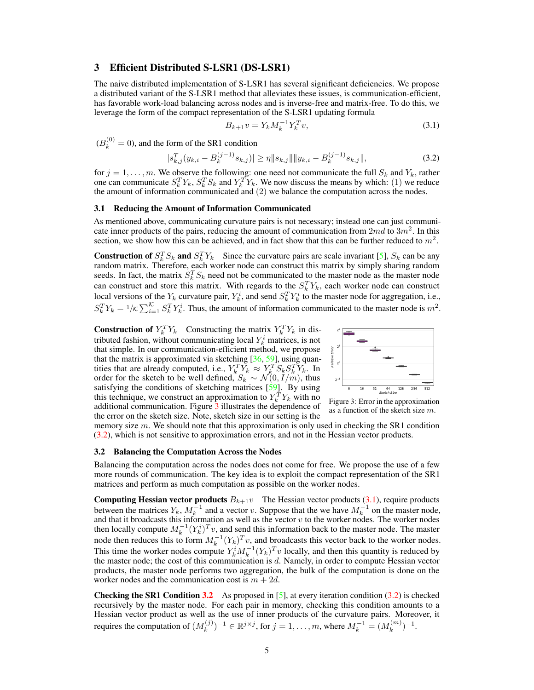## 3 Efficient Distributed S-LSR1 (DS-LSR1)

The naive distributed implementation of S-LSR1 has several significant deficiencies. We propose a distributed variant of the S-LSR1 method that alleviates these issues, is communication-efficient, has favorable work-load balancing across nodes and is inverse-free and matrix-free. To do this, we leverage the form of the compact representation of the S-LSR1 updating formula

$$
B_{k+1}v = Y_k M_k^{-1} Y_k^T v,
$$
\n(3.1)

 $(B_k^{(0)} = 0)$ , and the form of the SR1 condition

$$
|s_{k,j}^T(y_{k,i} - B_k^{(j-1)} s_{k,j})| \ge \eta \|s_{k,j}\| \|y_{k,i} - B_k^{(j-1)} s_{k,j}\|,
$$
\n(3.2)

for  $j = 1, \ldots, m$ . We observe the following: one need not communicate the full  $S_k$  and  $Y_k$ , rather one can communicate  $S_k^T Y_k$ ,  $S_k^T S_k$  and  $Y_k^T Y_k$ . We now discuss the means by which: (1) we reduce the amount of information communicated and (2) we balance the computation across the nodes.

#### 3.1 Reducing the Amount of Information Communicated

As mentioned above, communicating curvature pairs is not necessary; instead one can just communicate inner products of the pairs, reducing the amount of communication from  $2md$  to  $3m^2$ . In this section, we show how this can be achieved, and in fact show that this can be further reduced to  $m^2$ .

**Construction of**  $S_k^T S_k$  and  $S_k^T Y_k$  Since the curvature pairs are scale invariant [5],  $S_k$  can be any random matrix. Therefore, each worker node can construct this matrix by simply sharing random seeds. In fact, the matrix  $S_k^T S_k$  need not be communicated to the master node as the master node can construct and store this matrix. With regards to the  $S_k^T Y_k$ , each worker node can construct local versions of the  $Y_k$  curvature pair,  $Y_k^i$ , and send  $S_k^T Y_k^i$  to the master node for aggregation, i.e.,  $S_k^T Y_k = 1/\kappa \sum_{i=1}^{\kappa} S_k^T Y_k^i$ . Thus, the amount of information communicated to the master node is  $m^2$ .

**Construction of**  $Y_k^T Y_k$  Constructing the matrix  $Y_k^T Y_k$  in distributed fashion, without communicating local  $Y_k^i$  matrices, is not that simple. In our communication-efficient method, we propose that the matrix is approximated via sketching  $[36, 59]$ , using quantities that are already computed, i.e.,  $Y_k^T Y_k \approx Y_k^T S_k S_k^T Y_k$ . In order for the sketch to be well defined,  $S_k \sim \mathcal{N}(0, I/m)$ , thus satisfying the conditions of sketching matrices  $\left[\frac{59}{12}\right]$ . By using this technique, we construct an approximation to  $Y_k^T Y_k$  with no additional communication. Figure 3 illustrates the dependence of the error on the sketch size. Note, sketch size in our setting is the



Figure 3: Error in the approximation as a function of the sketch size m.

memory size m. We should note that this approximation is only used in checking the SR1 condition (3.2), which is not sensitive to approximation errors, and not in the Hessian vector products.

#### 3.2 Balancing the Computation Across the Nodes

Balancing the computation across the nodes does not come for free. We propose the use of a few more rounds of communication. The key idea is to exploit the compact representation of the SR1 matrices and perform as much computation as possible on the worker nodes.

**Computing Hessian vector products**  $B_{k+1}v$  The Hessian vector products (3.1), require products between the matrices  $Y_k$ ,  $M_k^{-1}$  and a vector v. Suppose that the we have  $M_k^{-1}$  on the master node, and that it broadcasts this information as well as the vector  $v$  to the worker nodes. The worker nodes then locally compute  $M_k^{-1}(Y_k^i)^T v$ , and send this information back to the master node. The master node then reduces this to form  $M_k^{-1}(Y_k)^T v$ , and broadcasts this vector back to the worker nodes. This time the worker nodes compute  $Y_k^i M_k^{-1} (Y_k)^T v$  locally, and then this quantity is reduced by the master node; the cost of this communication is d. Namely, in order to compute Hessian vector products, the master node performs two aggregation, the bulk of the computation is done on the worker nodes and the communication cost is  $m + 2d$ .

**Checking the SR1 Condition 3.2** As proposed in [5], at every iteration condition  $(3.2)$  is checked recursively by the master node. For each pair in memory, checking this condition amounts to a Hessian vector product as well as the use of inner products of the curvature pairs. Moreover, it requires the computation of  $(M_k^{(j)})$  $(k^{(j)})^{-1} \in \mathbb{R}^{j \times j}$ , for  $j = 1, ..., m$ , where  $M_k^{-1} = (M_k^{(m)})$  ${k^{(m)}}^{-1}.$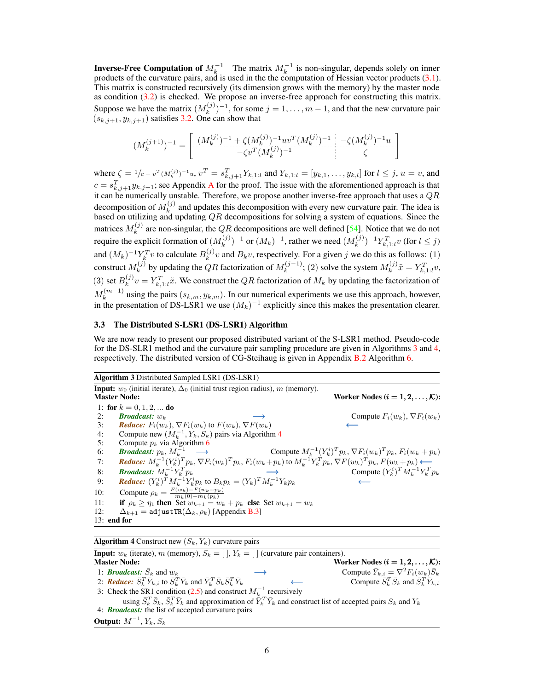**Inverse-Free Computation of**  $M_k^{-1}$  The matrix  $M_k^{-1}$  is non-singular, depends solely on inner products of the curvature pairs, and is used in the the computation of Hessian vector products (3.1). This matrix is constructed recursively (its dimension grows with the memory) by the master node as condition (3.2) is checked. We propose an inverse-free approach for constructing this matrix. Suppose we have the matrix  $(M_k^{(j)})$  $(k^{(j)})^{-1}$ , for some  $j = 1, \ldots, m - 1$ , and that the new curvature pair  $(s_{k,j+1}, y_{k,j+1})$  satisfies 3.2. One can show that

$$
(M_k^{(j+1)})^{-1} = \left[ \begin{array}{c} (M_k^{(j)})^{-1} + \zeta (M_k^{(j)})^{-1}uv^T(M_k^{(j)})^{-1} & -\zeta (M_k^{(j)})^{-1}u \\ -\zeta v^T(M_k^{(j)})^{-1} & \zeta \end{array} \right]
$$

where  $\zeta = 1/c - v^T (M_k^{(j)})^{-1} u$ ,  $v^T = s_{k,j+1}^T Y_{k,1:l}$  and  $Y_{k,1:l} = [y_{k,1}, \ldots, y_{k,l}]$  for  $l \le j$ ,  $u = v$ , and  $c = s_{k,j+1}^T y_{k,j+1}$ ; see Appendix A for the proof. The issue with the aforementioned approach is that it can be numerically unstable. Therefore, we propose another inverse-free approach that uses a  $QR$ decomposition of  $M_k^{(j)}$  $k_k^{(0)}$  and updates this decomposition with every new curvature pair. The idea is based on utilizing and updating  $QR$  decompositions for solving a system of equations. Since the matrices  $M_k^{(j)}$  are non-singular, the QR decompositions are well defined [54]. Notice that we do not k require the explicit formation of  $(M_k^{(j)})$  $(k_k^{(j)})^{-1}$  or  $(M_k)^{-1}$ , rather we need  $(M_k^{(j)})$  $(k^{(j)})^{-1} Y_{k,1:l}^T v$  (for  $l \leq j$ ) and  $(M_k)^{-1} Y_k^T v$  to calculate  $B_k^{(j)}$  $\binom{y}{k}$  and  $B_k v$ , respectively. For a given j we do this as follows: (1) construct  $M_k^{(j)}$  $k_k^{(j)}$  by updating the QR factorization of  $M_k^{(j-1)}$ ; (2) solve the system  $M_k^{(j)}$  $x_k^{(j)}\tilde{x} = Y_{k,1:l}^T v,$  $(3)$  set  $B_k^{(j)}$  $k_k^{(j)}v = Y_{k,1:l}^T \tilde{x}$ . We construct the QR factorization of  $M_k$  by updating the factorization of  $M_k^{(m-1)}$  using the pairs  $(s_{k,m}, y_{k,m})$ . In our numerical experiments we use this approach, however, in the presentation of DS-LSR1 we use  $(M_k)^{-1}$  explicitly since this makes the presentation clearer.

## 3.3 The Distributed S-LSR1 (DS-LSR1) Algorithm

We are now ready to present our proposed distributed variant of the S-LSR1 method. Pseudo-code for the DS-SLR1 method and the curvature pair sampling procedure are given in Algorithms 3 and 4, respectively. The distributed version of CG-Steihaug is given in Appendix B.2 Algorithm 6.

|     | <b>Algorithm 3</b> Distributed Sampled LSR1 (DS-LSR1)                                                                                                              |                                                                         |
|-----|--------------------------------------------------------------------------------------------------------------------------------------------------------------------|-------------------------------------------------------------------------|
|     | <b>Input:</b> $w_0$ (initial iterate), $\Delta_0$ (initial trust region radius), m (memory).                                                                       |                                                                         |
|     | <b>Master Node:</b>                                                                                                                                                | Worker Nodes $(i = 1, 2, , K)$ :                                        |
|     | 1: for $k = 0, 1, 2, $ do                                                                                                                                          |                                                                         |
| 2:  | <b>Broadcast:</b> $w_k$                                                                                                                                            | Compute $F_i(w_k)$ , $\nabla F_i(w_k)$                                  |
| 3:  | <i>Reduce:</i> $F_i(w_k)$ , $\nabla F_i(w_k)$ to $F(w_k)$ , $\nabla F(w_k)$                                                                                        |                                                                         |
| 4:  | Compute new $(M_k^{-1}, Y_k, S_k)$ pairs via Algorithm 4                                                                                                           |                                                                         |
| 5:  | Compute $p_k$ via Algorithm 6                                                                                                                                      |                                                                         |
| 6:  | <b>Broadcast:</b> $p_k$ , $M_k^{-1} \longrightarrow$                                                                                                               | Compute $M_k^{-1} (Y_k^i)^T p_k, \nabla F_i(w_k)^T p_k, F_i(w_k + p_k)$ |
| 7:  | <b>Reduce:</b> $M_k^{-1} (Y_k^i)^T p_k$ , $\nabla F_i(w_k)^T p_k$ , $F_i(w_k + p_k)$ to $M_k^{-1} Y_k^T p_k$ , $\nabla F(w_k)^T p_k$ , $F(w_k + p_k)$ $\leftarrow$ |                                                                         |
| 8:  | <b>Broadcast:</b> $M_k^{-1} Y_k^T p_k$                                                                                                                             | Compute $(Y_k^i)^T M_k^{-1} Y_k^T p_k$                                  |
| 9:  | <b>Reduce:</b> $(Y_k^i)^T M_k^{-1} Y_k^i p_k$ to $B_k p_k = (Y_k)^T M_k^{-1} Y_k p_k$                                                                              |                                                                         |
| 10: | Compute $\rho_k = \frac{F(w_k) - F(w_k + p_k)}{m_k(0) - m_k(n_k)}$                                                                                                 |                                                                         |
| 11: | if $\rho_k \geq \eta_1$ then Set $w_{k+1} = w_k + p_k$ else Set $w_{k+1} = w_k$                                                                                    |                                                                         |
| 12: | $\Delta_{k+1}$ = adjust TR( $\Delta_k, \rho_k$ ) [Appendix B.3]                                                                                                    |                                                                         |
|     | $13:$ end for                                                                                                                                                      |                                                                         |
|     |                                                                                                                                                                    |                                                                         |

**Algorithm 4** Construct new  $(S_k, Y_k)$  curvature pairs **Input:**  $w_k$  (iterate), m (memory),  $S_k = [\ ]$ ,  $Y_k = [\ ]$  (curvature pair containers).<br>**Master Node:** Wo Master Node:<br>
1: *Broadcast:*  $\bar{S}_k$  and  $w_k$ <br>  $\longrightarrow$  Worker Nodes  $(i = 1, 2, ..., K)$ :<br>
Compute  $\bar{Y}_{k,i} = \nabla^2 F_i(w_k) \bar{S}_k$ 1: **Broadcast:**  $\overline{S}_k$  and  $w_k$   $\longrightarrow$  Compute  $\overline{Y}_{k,i} = \nabla^2 F_i(w_k) \overline{S}_k$ 2: *Reduce:*  $\bar{S}_k^T \bar{Y}_{k,i}$  to  $\bar{S}_k^T \bar{Y}_k$  and  $\bar{Y}_k^T \bar{S}_k \bar{S}_k^T \bar{Y}_k$   $\leftarrow$  Compute  $\bar{S}_k^T$  $k \overline{S}_k$  and  $\overline{S}_k^T \overline{Y}_{k,i}$ 3: Check the SR1 condition (2.5) and construct  $M_k^{-1}$  recursively using  $\bar{S}_k^T \bar{S}_k$ ,  $\bar{S}_k^T \bar{Y}_k$  and approximation of  $\bar{Y}_k^T \bar{Y}_k$  and construct list of accepted pairs  $S_k$  and  $Y_k$ 4: *Broadcast:* the list of accepted curvature pairs Output:  $M^{-1}$ ,  $Y_k$ ,  $S_k$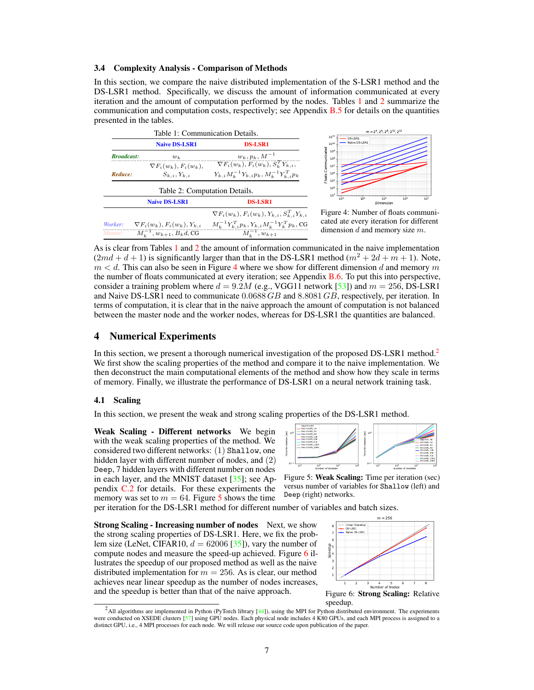#### 3.4 Complexity Analysis - Comparison of Methods

In this section, we compare the naive distributed implementation of the S-LSR1 method and the DS-LSR1 method. Specifically, we discuss the amount of information communicated at every iteration and the amount of computation performed by the nodes. Tables 1 and 2 summarize the communication and computation costs, respectively; see Appendix B.5 for details on the quantities presented in the tables.

|                   | <b>Naive DS-LSR1</b>                                  | <b>DS-LSR1</b>                                           |
|-------------------|-------------------------------------------------------|----------------------------------------------------------|
| <b>Broadcast:</b> | $w_k$                                                 | $w_k, p_k, M^{-1}$                                       |
|                   | $\nabla F_i(w_k), F_i(w_k),$                          | $\nabla F_i(w_k)$ , $F_i(w_k)$ , $S_i^T Y_{k,i}$ ,       |
| Reduce:           | $S_{k,i}, Y_{k,i}$                                    | $Y_{k,i}M_k^{-1}Y_{k,i}p_k, M_k^{-1}Y_{k,i}^T p_k$       |
|                   |                                                       |                                                          |
|                   | Table 2: Computation Details.<br><b>Naive DS-LSR1</b> | <b>DS-LSR1</b>                                           |
|                   |                                                       | $\nabla F_i(w_k), F_i(w_k), Y_{k,i}, S_{k,i}^T Y_{k,i}$  |
| Worker:           | $\nabla F_i(w_k)$ , $F_i(w_k)$ , $Y_{k,i}$            | $M_k^{-1} Y_{k,i}^T p_k, Y_{k,i} M_k^{-1} Y_k^T p_k,$ CG |



ure 4: Number of floats communied ate every iteration for different nension d and memory size  $m$ .

As is clear from Tables 1 and 2 the amount of information communicated in the naive implementation  $(2md + d + 1)$  is significantly larger than that in the DS-LSR1 method  $(m^2 + 2d + m + 1)$ . Note,  $m < d$ . This can also be seen in Figure 4 where we show for different dimension d and memory m the number of floats communicated at every iteration; see Appendix B.6. To put this into perspective, consider a training problem where  $d = 9.2M$  (e.g., VGG11 network [53]) and  $m = 256$ , DS-LSR1 and Naive DS-LSR1 need to communicate  $0.0688$  GB and 8.8081 GB, respectively, per iteration. In terms of computation, it is clear that in the naive approach the amount of computation is not balanced between the master node and the worker nodes, whereas for DS-LSR1 the quantities are balanced.

## 4 Numerical Experiments

In this section, we present a thorough numerical investigation of the proposed DS-LSR1 method.<sup>2</sup> We first show the scaling properties of the method and compare it to the naive implementation. We then deconstruct the main computational elements of the method and show how they scale in terms of memory. Finally, we illustrate the performance of DS-LSR1 on a neural network training task.

#### 4.1 Scaling

In this section, we present the weak and strong scaling properties of the DS-LSR1 method.

Weak Scaling - Different networks We begin with the weak scaling properties of the method. We considered two different networks: (1) Shallow, one hidden layer with different number of nodes, and (2) Deep, 7 hidden layers with different number on nodes in each layer, and the MNIST dataset [35]; see Appendix C.2 for details. For these experiments the memory was set to  $m = 64$ . Figure 5 shows the time



Figure 5: Weak Scaling: Time per iteration (sec) versus number of variables for Shallow (left) and Deep (right) networks.

per iteration for the DS-LSR1 method for different number of variables and batch sizes.

Strong Scaling - Increasing number of nodes Next, we show the strong scaling properties of DS-LSR1. Here, we fix the problem size (LeNet, CIFAR10,  $d = 62006$  [35]), vary the number of compute nodes and measure the speed-up achieved. Figure 6 illustrates the speedup of our proposed method as well as the naive distributed implementation for  $m = 256$ . As is clear, our method achieves near linear speedup as the number of nodes increases, and the speedup is better than that of the naive approach.



speedup.

<sup>2</sup> All algorithms are implemented in Python (PyTorch library [44]), using the MPI for Python distributed environment. The experiments were conducted on XSEDE clusters [57] using GPU nodes. Each physical node includes 4 K80 GPUs, and each MPI process is assigned to a distinct GPU, i.e., 4 MPI processes for each node. We will release our source code upon publication of the paper.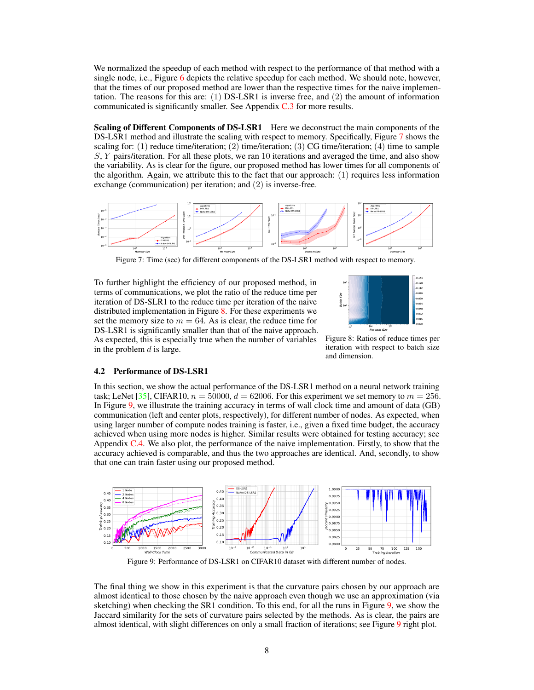We normalized the speedup of each method with respect to the performance of that method with a single node, i.e., Figure 6 depicts the relative speedup for each method. We should note, however, that the times of our proposed method are lower than the respective times for the naive implementation. The reasons for this are: (1) DS-LSR1 is inverse free, and (2) the amount of information communicated is significantly smaller. See Appendix C.3 for more results.

Scaling of Different Components of DS-LSR1 Here we deconstruct the main components of the DS-LSR1 method and illustrate the scaling with respect to memory. Specifically, Figure 7 shows the scaling for:  $(1)$  reduce time/iteration;  $(2)$  time/iteration;  $(3)$  CG time/iteration;  $(4)$  time to sample S, Y pairs/iteration. For all these plots, we ran 10 iterations and averaged the time, and also show the variability. As is clear for the figure, our proposed method has lower times for all components of the algorithm. Again, we attribute this to the fact that our approach: (1) requires less information exchange (communication) per iteration; and (2) is inverse-free.



Figure 7: Time (sec) for different components of the DS-LSR1 method with respect to memory.

To further highlight the efficiency of our proposed method, in terms of communications, we plot the ratio of the reduce time per iteration of DS-SLR1 to the reduce time per iteration of the naive distributed implementation in Figure 8. For these experiments we set the memory size to  $m = 64$ . As is clear, the reduce time for DS-LSR1 is significantly smaller than that of the naive approach. As expected, this is especially true when the number of variables in the problem  $d$  is large.



Figure 8: Ratios of reduce times per iteration with respect to batch size and dimension.

#### 4.2 Performance of DS-LSR1

In this section, we show the actual performance of the DS-LSR1 method on a neural network training task; LeNet [35], CIFAR10,  $n = 50000$ ,  $d = 62006$ . For this experiment we set memory to  $m = 256$ . In Figure 9, we illustrate the training accuracy in terms of wall clock time and amount of data (GB) communication (left and center plots, respectively), for different number of nodes. As expected, when using larger number of compute nodes training is faster, i.e., given a fixed time budget, the accuracy achieved when using more nodes is higher. Similar results were obtained for testing accuracy; see Appendix C.4. We also plot, the performance of the naive implementation. Firstly, to show that the accuracy achieved is comparable, and thus the two approaches are identical. And, secondly, to show that one can train faster using our proposed method.



Figure 9: Performance of DS-LSR1 on CIFAR10 dataset with different number of nodes.

The final thing we show in this experiment is that the curvature pairs chosen by our approach are almost identical to those chosen by the naive approach even though we use an approximation (via sketching) when checking the SR1 condition. To this end, for all the runs in Figure 9, we show the Jaccard similarity for the sets of curvature pairs selected by the methods. As is clear, the pairs are almost identical, with slight differences on only a small fraction of iterations; see Figure 9 right plot.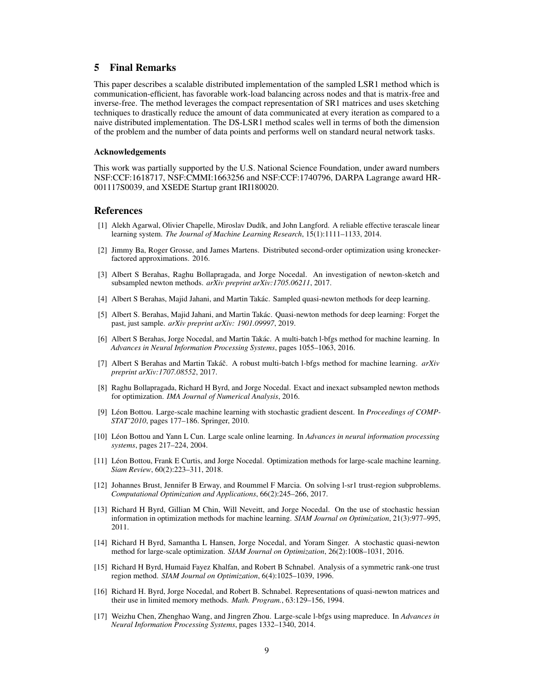## 5 Final Remarks

This paper describes a scalable distributed implementation of the sampled LSR1 method which is communication-efficient, has favorable work-load balancing across nodes and that is matrix-free and inverse-free. The method leverages the compact representation of SR1 matrices and uses sketching techniques to drastically reduce the amount of data communicated at every iteration as compared to a naive distributed implementation. The DS-LSR1 method scales well in terms of both the dimension of the problem and the number of data points and performs well on standard neural network tasks.

#### Acknowledgements

This work was partially supported by the U.S. National Science Foundation, under award numbers NSF:CCF:1618717, NSF:CMMI:1663256 and NSF:CCF:1740796, DARPA Lagrange award HR-001117S0039, and XSEDE Startup grant IRI180020.

### References

- [1] Alekh Agarwal, Olivier Chapelle, Miroslav Dudík, and John Langford. A reliable effective terascale linear learning system. *The Journal of Machine Learning Research*, 15(1):1111–1133, 2014.
- [2] Jimmy Ba, Roger Grosse, and James Martens. Distributed second-order optimization using kroneckerfactored approximations. 2016.
- [3] Albert S Berahas, Raghu Bollapragada, and Jorge Nocedal. An investigation of newton-sketch and subsampled newton methods. *arXiv preprint arXiv:1705.06211*, 2017.
- [4] Albert S Berahas, Majid Jahani, and Martin Takác. Sampled quasi-newton methods for deep learning.
- [5] Albert S. Berahas, Majid Jahani, and Martin Takác. Quasi-newton methods for deep learning: Forget the past, just sample. *arXiv preprint arXiv: 1901.09997*, 2019.
- [6] Albert S Berahas, Jorge Nocedal, and Martin Takác. A multi-batch l-bfgs method for machine learning. In *Advances in Neural Information Processing Systems*, pages 1055–1063, 2016.
- [7] Albert S Berahas and Martin Takáč. A robust multi-batch l-bfgs method for machine learning. *arXiv preprint arXiv:1707.08552*, 2017.
- [8] Raghu Bollapragada, Richard H Byrd, and Jorge Nocedal. Exact and inexact subsampled newton methods for optimization. *IMA Journal of Numerical Analysis*, 2016.
- [9] Léon Bottou. Large-scale machine learning with stochastic gradient descent. In *Proceedings of COMP-STAT'2010*, pages 177–186. Springer, 2010.
- [10] Léon Bottou and Yann L Cun. Large scale online learning. In *Advances in neural information processing systems*, pages 217–224, 2004.
- [11] Léon Bottou, Frank E Curtis, and Jorge Nocedal. Optimization methods for large-scale machine learning. *Siam Review*, 60(2):223–311, 2018.
- [12] Johannes Brust, Jennifer B Erway, and Roummel F Marcia. On solving l-sr1 trust-region subproblems. *Computational Optimization and Applications*, 66(2):245–266, 2017.
- [13] Richard H Byrd, Gillian M Chin, Will Neveitt, and Jorge Nocedal. On the use of stochastic hessian information in optimization methods for machine learning. *SIAM Journal on Optimization*, 21(3):977–995, 2011.
- [14] Richard H Byrd, Samantha L Hansen, Jorge Nocedal, and Yoram Singer. A stochastic quasi-newton method for large-scale optimization. *SIAM Journal on Optimization*, 26(2):1008–1031, 2016.
- [15] Richard H Byrd, Humaid Fayez Khalfan, and Robert B Schnabel. Analysis of a symmetric rank-one trust region method. *SIAM Journal on Optimization*, 6(4):1025–1039, 1996.
- [16] Richard H. Byrd, Jorge Nocedal, and Robert B. Schnabel. Representations of quasi-newton matrices and their use in limited memory methods. *Math. Program.*, 63:129–156, 1994.
- [17] Weizhu Chen, Zhenghao Wang, and Jingren Zhou. Large-scale l-bfgs using mapreduce. In *Advances in Neural Information Processing Systems*, pages 1332–1340, 2014.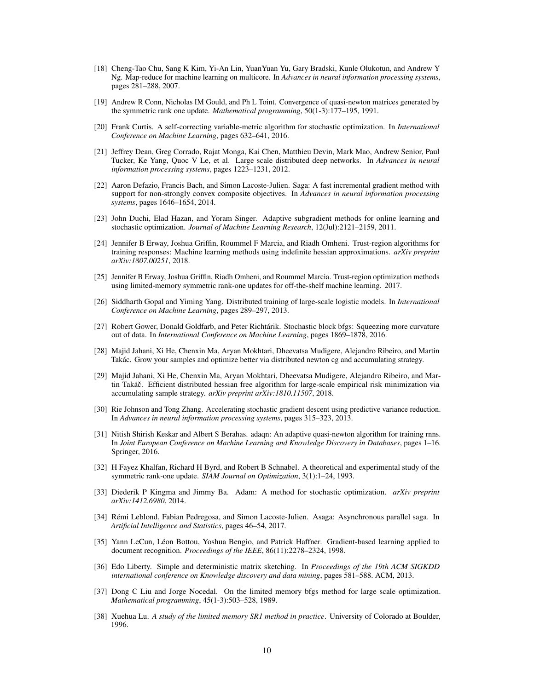- [18] Cheng-Tao Chu, Sang K Kim, Yi-An Lin, YuanYuan Yu, Gary Bradski, Kunle Olukotun, and Andrew Y Ng. Map-reduce for machine learning on multicore. In *Advances in neural information processing systems*, pages 281–288, 2007.
- [19] Andrew R Conn, Nicholas IM Gould, and Ph L Toint. Convergence of quasi-newton matrices generated by the symmetric rank one update. *Mathematical programming*, 50(1-3):177–195, 1991.
- [20] Frank Curtis. A self-correcting variable-metric algorithm for stochastic optimization. In *International Conference on Machine Learning*, pages 632–641, 2016.
- [21] Jeffrey Dean, Greg Corrado, Rajat Monga, Kai Chen, Matthieu Devin, Mark Mao, Andrew Senior, Paul Tucker, Ke Yang, Quoc V Le, et al. Large scale distributed deep networks. In *Advances in neural information processing systems*, pages 1223–1231, 2012.
- [22] Aaron Defazio, Francis Bach, and Simon Lacoste-Julien. Saga: A fast incremental gradient method with support for non-strongly convex composite objectives. In *Advances in neural information processing systems*, pages 1646–1654, 2014.
- [23] John Duchi, Elad Hazan, and Yoram Singer. Adaptive subgradient methods for online learning and stochastic optimization. *Journal of Machine Learning Research*, 12(Jul):2121–2159, 2011.
- [24] Jennifer B Erway, Joshua Griffin, Roummel F Marcia, and Riadh Omheni. Trust-region algorithms for training responses: Machine learning methods using indefinite hessian approximations. *arXiv preprint arXiv:1807.00251*, 2018.
- [25] Jennifer B Erway, Joshua Griffin, Riadh Omheni, and Roummel Marcia. Trust-region optimization methods using limited-memory symmetric rank-one updates for off-the-shelf machine learning. 2017.
- [26] Siddharth Gopal and Yiming Yang. Distributed training of large-scale logistic models. In *International Conference on Machine Learning*, pages 289–297, 2013.
- [27] Robert Gower, Donald Goldfarb, and Peter Richtárik. Stochastic block bfgs: Squeezing more curvature out of data. In *International Conference on Machine Learning*, pages 1869–1878, 2016.
- [28] Majid Jahani, Xi He, Chenxin Ma, Aryan Mokhtari, Dheevatsa Mudigere, Alejandro Ribeiro, and Martin Takác. Grow your samples and optimize better via distributed newton cg and accumulating strategy.
- [29] Majid Jahani, Xi He, Chenxin Ma, Aryan Mokhtari, Dheevatsa Mudigere, Alejandro Ribeiro, and Martin Takáč. Efficient distributed hessian free algorithm for large-scale empirical risk minimization via accumulating sample strategy. *arXiv preprint arXiv:1810.11507*, 2018.
- [30] Rie Johnson and Tong Zhang. Accelerating stochastic gradient descent using predictive variance reduction. In *Advances in neural information processing systems*, pages 315–323, 2013.
- [31] Nitish Shirish Keskar and Albert S Berahas. adaqn: An adaptive quasi-newton algorithm for training rnns. In *Joint European Conference on Machine Learning and Knowledge Discovery in Databases*, pages 1–16. Springer, 2016.
- [32] H Fayez Khalfan, Richard H Byrd, and Robert B Schnabel. A theoretical and experimental study of the symmetric rank-one update. *SIAM Journal on Optimization*, 3(1):1–24, 1993.
- [33] Diederik P Kingma and Jimmy Ba. Adam: A method for stochastic optimization. *arXiv preprint arXiv:1412.6980*, 2014.
- [34] Rémi Leblond, Fabian Pedregosa, and Simon Lacoste-Julien. Asaga: Asynchronous parallel saga. In *Artificial Intelligence and Statistics*, pages 46–54, 2017.
- [35] Yann LeCun, Léon Bottou, Yoshua Bengio, and Patrick Haffner. Gradient-based learning applied to document recognition. *Proceedings of the IEEE*, 86(11):2278–2324, 1998.
- [36] Edo Liberty. Simple and deterministic matrix sketching. In *Proceedings of the 19th ACM SIGKDD international conference on Knowledge discovery and data mining*, pages 581–588. ACM, 2013.
- [37] Dong C Liu and Jorge Nocedal. On the limited memory bfgs method for large scale optimization. *Mathematical programming*, 45(1-3):503–528, 1989.
- [38] Xuehua Lu. *A study of the limited memory SR1 method in practice*. University of Colorado at Boulder, 1996.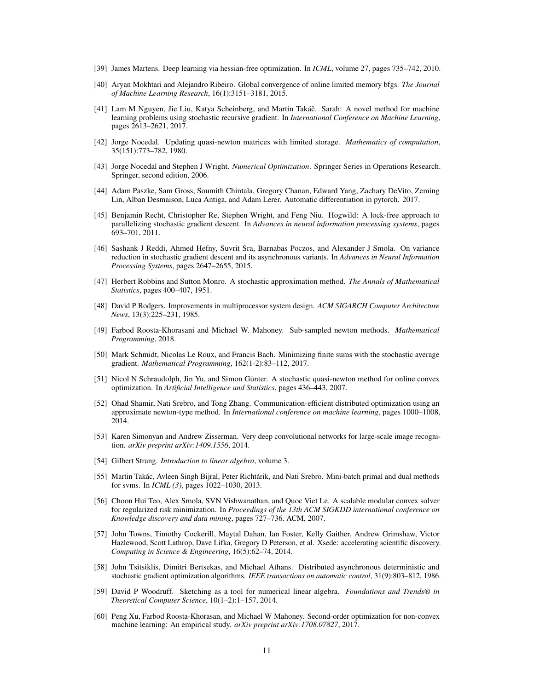- [39] James Martens. Deep learning via hessian-free optimization. In *ICML*, volume 27, pages 735–742, 2010.
- [40] Aryan Mokhtari and Alejandro Ribeiro. Global convergence of online limited memory bfgs. *The Journal of Machine Learning Research*, 16(1):3151–3181, 2015.
- [41] Lam M Nguyen, Jie Liu, Katya Scheinberg, and Martin Takáč. Sarah: A novel method for machine learning problems using stochastic recursive gradient. In *International Conference on Machine Learning*, pages 2613–2621, 2017.
- [42] Jorge Nocedal. Updating quasi-newton matrices with limited storage. *Mathematics of computation*, 35(151):773–782, 1980.
- [43] Jorge Nocedal and Stephen J Wright. *Numerical Optimization*. Springer Series in Operations Research. Springer, second edition, 2006.
- [44] Adam Paszke, Sam Gross, Soumith Chintala, Gregory Chanan, Edward Yang, Zachary DeVito, Zeming Lin, Alban Desmaison, Luca Antiga, and Adam Lerer. Automatic differentiation in pytorch. 2017.
- [45] Benjamin Recht, Christopher Re, Stephen Wright, and Feng Niu. Hogwild: A lock-free approach to parallelizing stochastic gradient descent. In *Advances in neural information processing systems*, pages 693–701, 2011.
- [46] Sashank J Reddi, Ahmed Hefny, Suvrit Sra, Barnabas Poczos, and Alexander J Smola. On variance reduction in stochastic gradient descent and its asynchronous variants. In *Advances in Neural Information Processing Systems*, pages 2647–2655, 2015.
- [47] Herbert Robbins and Sutton Monro. A stochastic approximation method. *The Annals of Mathematical Statistics*, pages 400–407, 1951.
- [48] David P Rodgers. Improvements in multiprocessor system design. *ACM SIGARCH Computer Architecture News*, 13(3):225–231, 1985.
- [49] Farbod Roosta-Khorasani and Michael W. Mahoney. Sub-sampled newton methods. *Mathematical Programming*, 2018.
- [50] Mark Schmidt, Nicolas Le Roux, and Francis Bach. Minimizing finite sums with the stochastic average gradient. *Mathematical Programming*, 162(1-2):83–112, 2017.
- [51] Nicol N Schraudolph, Jin Yu, and Simon Günter. A stochastic quasi-newton method for online convex optimization. In *Artificial Intelligence and Statistics*, pages 436–443, 2007.
- [52] Ohad Shamir, Nati Srebro, and Tong Zhang. Communication-efficient distributed optimization using an approximate newton-type method. In *International conference on machine learning*, pages 1000–1008, 2014.
- [53] Karen Simonyan and Andrew Zisserman. Very deep convolutional networks for large-scale image recognition. *arXiv preprint arXiv:1409.1556*, 2014.
- [54] Gilbert Strang. *Introduction to linear algebra*, volume 3.
- [55] Martin Takác, Avleen Singh Bijral, Peter Richtárik, and Nati Srebro. Mini-batch primal and dual methods for svms. In *ICML (3)*, pages 1022–1030, 2013.
- [56] Choon Hui Teo, Alex Smola, SVN Vishwanathan, and Quoc Viet Le. A scalable modular convex solver for regularized risk minimization. In *Proceedings of the 13th ACM SIGKDD international conference on Knowledge discovery and data mining*, pages 727–736. ACM, 2007.
- [57] John Towns, Timothy Cockerill, Maytal Dahan, Ian Foster, Kelly Gaither, Andrew Grimshaw, Victor Hazlewood, Scott Lathrop, Dave Lifka, Gregory D Peterson, et al. Xsede: accelerating scientific discovery. *Computing in Science & Engineering*, 16(5):62–74, 2014.
- [58] John Tsitsiklis, Dimitri Bertsekas, and Michael Athans. Distributed asynchronous deterministic and stochastic gradient optimization algorithms. *IEEE transactions on automatic control*, 31(9):803–812, 1986.
- [59] David P Woodruff. Sketching as a tool for numerical linear algebra. *Foundations and Trends® in Theoretical Computer Science*, 10(1–2):1–157, 2014.
- [60] Peng Xu, Farbod Roosta-Khorasan, and Michael W Mahoney. Second-order optimization for non-convex machine learning: An empirical study. *arXiv preprint arXiv:1708.07827*, 2017.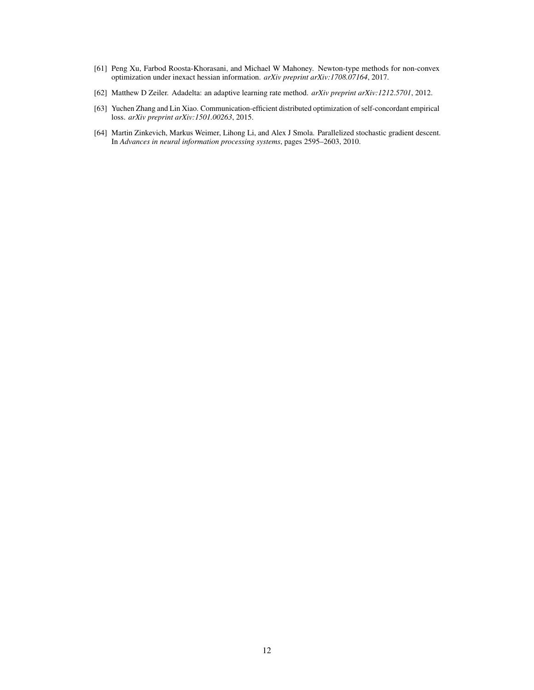- [61] Peng Xu, Farbod Roosta-Khorasani, and Michael W Mahoney. Newton-type methods for non-convex optimization under inexact hessian information. *arXiv preprint arXiv:1708.07164*, 2017.
- [62] Matthew D Zeiler. Adadelta: an adaptive learning rate method. *arXiv preprint arXiv:1212.5701*, 2012.
- [63] Yuchen Zhang and Lin Xiao. Communication-efficient distributed optimization of self-concordant empirical loss. *arXiv preprint arXiv:1501.00263*, 2015.
- [64] Martin Zinkevich, Markus Weimer, Lihong Li, and Alex J Smola. Parallelized stochastic gradient descent. In *Advances in neural information processing systems*, pages 2595–2603, 2010.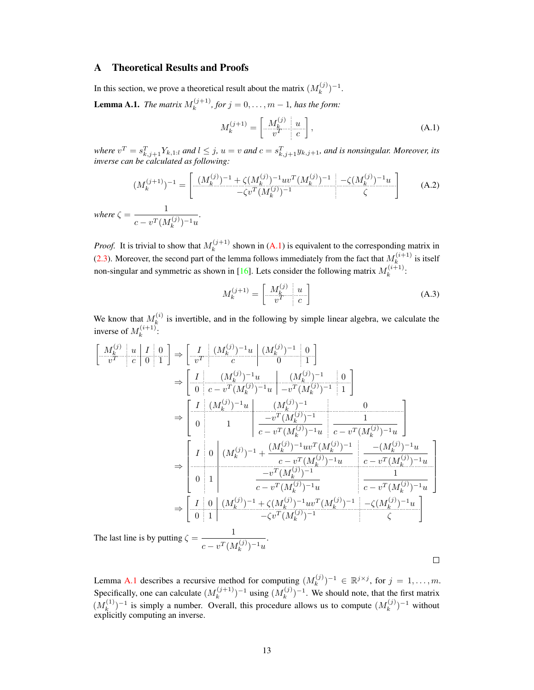## A Theoretical Results and Proofs

In this section, we prove a theoretical result about the matrix  $(M_k^{(j)})$  ${k^{(j)}}^{-1}.$ 

**Lemma A.1.** *The matrix*  $M_k^{(j+1)}$  $k^{(j+1)}$ , for  $j = 0, ..., m - 1$ , has the form:

$$
M_k^{(j+1)} = \left[\begin{array}{c|c} M_k^{(j)} & u \\ \hline v^T & c \end{array}\right],\tag{A.1}
$$

where  $v^T = s_{k,j+1}^T Y_{k,1:l}$  and  $l \leq j$ ,  $u = v$  and  $c = s_{k,j+1}^T y_{k,j+1}$ , and is nonsingular. Moreover, its *inverse can be calculated as following:*

$$
(M_k^{(j+1)})^{-1} = \begin{bmatrix} (M_k^{(j)})^{-1} + \zeta (M_k^{(j)})^{-1} uv^T (M_k^{(j)})^{-1} & -\zeta (M_k^{(j)})^{-1}u \\ -\zeta v^T (M_k^{(j)})^{-1} & \zeta \end{bmatrix}
$$
 (A.2)

*where*  $\zeta = \frac{1}{\sqrt{1-\frac{1}{n}}}$  $c-v^T(M_k^{(j)})$  $\binom{(J)}{k}$ <sup>-1</sup>u *.*

*Proof.* It is trivial to show that  $M_k^{(j+1)}$  $k_k^{(j+1)}$  shown in (A.1) is equivalent to the corresponding matrix in (2.3). Moreover, the second part of the lemma follows immediately from the fact that  $M_k^{(i+1)}$  $\sum_{k=1}^{(i+1)}$  is itself non-singular and symmetric as shown in [16]. Lets consider the following matrix  $M_k^{(i+1)}$  $\frac{k^{(i+1)}}{k}$ 

$$
M_k^{(j+1)} = \begin{bmatrix} M_k^{(j)} & u \\ v^T & c \end{bmatrix}
$$
 (A.3)

We know that  $M_k^{(i)}$  $k_k^{(i)}$  is invertible, and in the following by simple linear algebra, we calculate the inverse of  $M_k^{(i+1)}$  $\frac{(i+1)}{k}$ :

$$
\begin{bmatrix}\nM_k^{(j)} & u & I & 0 \\
v^T & c & 0 & 1\n\end{bmatrix} \Rightarrow \begin{bmatrix}\nI & (M_k^{(j)})^{-1}u & (M_k^{(j)})^{-1} & 0 \\
v^T & c & 0 & 1\n\end{bmatrix}
$$
\n
$$
\Rightarrow \begin{bmatrix}\nI & (M_k^{(j)})^{-1}u & (M_k^{(j)})^{-1} \\
0 & c - v^T(M_k^{(j)})^{-1}u & -v^T(M_k^{(j)})^{-1} & 1\n\end{bmatrix}
$$
\n
$$
\Rightarrow \begin{bmatrix}\nI & (M_k^{(j)})^{-1}u & (M_k^{(j)})^{-1} & 0 \\
0 & 1 & -v^T(M_k^{(j)})^{-1}u & c - v^T(M_k^{(j)})^{-1}u\n\end{bmatrix}
$$
\n
$$
\Rightarrow \begin{bmatrix}\nI & 0 & (M_k^{(j)})^{-1} + \frac{(M_k^{(j)})^{-1}uv^T(M_k^{(j)})^{-1}u}{c - v^T(M_k^{(j)})^{-1}u} & \frac{-(M_k^{(j)})^{-1}uv}{c - v^T(M_k^{(j)})^{-1}u}\n\end{bmatrix}
$$
\n
$$
\Rightarrow \begin{bmatrix}\nI & 0 & (M_k^{(j)})^{-1} + \frac{(M_k^{(j)})^{-1}uv^T(M_k^{(j)})^{-1}u}{c - v^T(M_k^{(j)})^{-1}u} & \frac{1}{c - v^T(M_k^{(j)})^{-1}u}\n\end{bmatrix}
$$
\n
$$
\Rightarrow \begin{bmatrix}\nI & 0 & (M_k^{(j)})^{-1} + \zeta(M_k^{(j)})^{-1}uv^T(M_k^{(j)})^{-1} & -\zeta(M_k^{(j)})^{-1}u \\
0 & 1 & -\zeta v^T(M_k^{(j)})^{-1}uv^T(M_k^{(j)})^{-1} & \zeta\n\end{bmatrix}
$$
\nThe last line is by putting  $\zeta = \frac{1}{c - v^T(M_k^{(j)})^{-1}u}$ .

 $\Box$ 

Lemma A.1 describes a recursive method for computing  $(M_k^{(j)})$  $(k^{(j)})^{-1} \in \mathbb{R}^{j \times j}$ , for  $j = 1, ..., m$ . Specifically, one can calculate  $(M_k^{(j+1)})$  $\binom{(j+1)}{k}$ <sup>-1</sup> using  $(M_k^{(j)})$  $(k^{(j)})^{-1}$ . We should note, that the first matrix  $(M_k^{(1)}$  $(k)$ <sup>(1)</sup>)<sup>-1</sup> is simply a number. Overall, this procedure allows us to compute  $(M_k^{(j)})$  $\binom{-(j)}{k}$ <sup>-1</sup> without explicitly computing an inverse.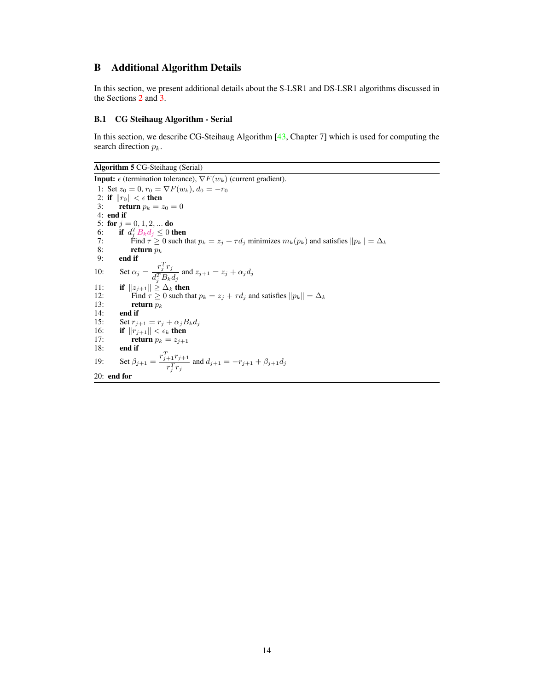## B Additional Algorithm Details

In this section, we present additional details about the S-LSR1 and DS-LSR1 algorithms discussed in the Sections 2 and 3.

### B.1 CG Steihaug Algorithm - Serial

In this section, we describe CG-Steihaug Algorithm [43, Chapter 7] which is used for computing the search direction  $p_k$ .

Algorithm 5 CG-Steihaug (Serial)

```
Input: \epsilon (termination tolerance), \nabla F(w_k) (current gradient).
 1: Set z_0 = 0, r_0 = \nabla F(w_k), d_0 = -r_02: if ||r_0|| < \epsilon then<br>3: return p_k = zreturn p_k = z_0 = 04: end if
 5: for j = 0, 1, 2, ... do
  6: if d_j^T B_k d_j \leq 0 then
 7: Find \tau \ge 0 such that p_k = z_j + \tau d_j minimizes m_k(p_k) and satisfies ||p_k|| = \Delta_k<br>8: return p_k8: return p_k<br>9: end if
           end if
10: Set \alpha_j = \frac{r_j^T r_j}{\sqrt{T} R}\frac{d^T_j}{d^T_j B_k d_j} and z_{j+1} = z_j + \alpha_j d_j11: if ||z_{j+1}|| \ge \Delta_k then<br>12: Find \tau > 0 such then
12: Find \tau \ge 0 such that p_k = z_j + \tau d_j and satisfies ||p_k|| = \Delta_k<br>13: return p_k13: return p_k<br>14: end if
14: end if<br>15: Set r_{i+1}15: Set r_{j+1} = r_j + \alpha_j B_k d_j16: if ||r_{j+1}|| < \epsilon_k then<br>17: return p_k = z_{j+1}18: end if
19: Set \beta_{j+1} = \frac{r_{j+1}^T r_{j+1}}{T}\frac{r_1^{1} \cdot r_1^{1} + r_2^{1} \cdot r_3^{1}}{r_j^{T} r_j} and d_{j+1} = -r_{j+1} + \beta_{j+1} d_j20: end for
```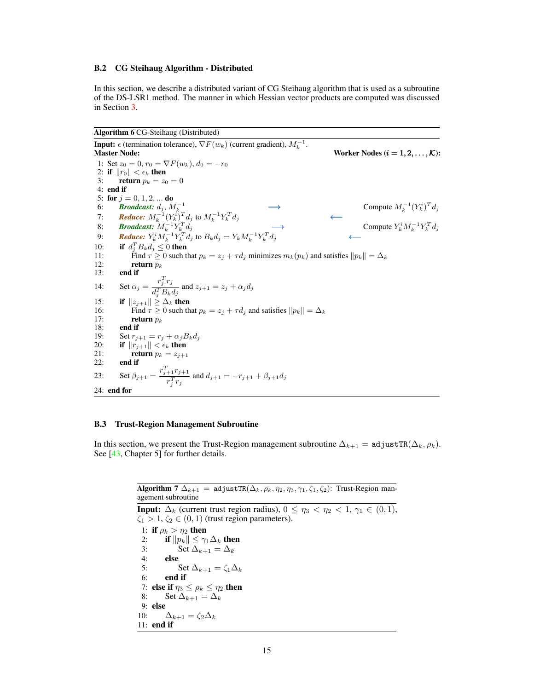#### B.2 CG Steihaug Algorithm - Distributed

In this section, we describe a distributed variant of CG Steihaug algorithm that is used as a subroutine of the DS-LSR1 method. The manner in which Hessian vector products are computed was discussed in Section 3.

```
Algorithm 6 CG-Steihaug (Distributed)
```
**Input:**  $\epsilon$  (termination tolerance),  $\nabla F(w_k)$  (current gradient),  $M_k^{-1}$ . Master Node:  $\blacksquare$  Morker Nodes  $(i = 1, 2, ..., K)$ : 1: Set  $z_0 = 0$ ,  $r_0 = \nabla F(w_k)$ ,  $d_0 = -r_0$ 2: if  $||r_0|| < \epsilon_k$  then<br>3: return  $p_k = z_0$ return  $p_k = z_0 = 0$ 4: end if 5: for  $j = 0, 1, 2, ...$  do 6: **Broadcast:**  $d_j$ ,  $M_k^{-1}$   $\longrightarrow$  Compute  $M_k^{-1}$  $\binom{-1}{k} \binom{Y_k^i}{T} d_j$ 7: **Reduce:**  $M_k^{-1} (Y_k^i)^T d_j$  to  $M_k^{-1} Y_k^T$  $\overline{k}^T d_j$  ← 8: **Broadcast:**  $M_k^{-1} Y_k^T d_j$   $\longrightarrow$  Compute Y  $k^i M_k^{-1} Y_k^T d_j$ 9: **Reduce:**  $Y_k^i M_k^{-1} Y_k^T d_j$  to  $B_k d_j = Y_k M_k^{-1} Y_k^T d_j$  ← 10: if  $d_j^T B_k d_j \leq 0$  then 11: Find  $\tau \ge 0$  such that  $p_k = z_j + \tau d_j$  minimizes  $m_k(p_k)$  and satisfies  $||p_k|| = \Delta_k$ <br>12: return  $p_k$ 13: end if 14: Set  $\alpha_j = \frac{r_j^T r_j}{\sqrt{T} R}$  $\frac{d^T_j}{d^T_j B_k d_j}$  and  $z_{j+1} = z_j + \alpha_j d_j$ 15: **if**  $||z_{j+1}|| \ge \Delta_k$  then<br>16: Find  $\tau > 0$  such th 16: Find  $\tau \ge 0$  such that  $p_k = z_j + \tau d_j$  and satisfies  $||p_k|| = \Delta_k$ <br>17: **return**  $p_k$ 17: **return**  $p_k$ <br>18: **end if** 18: **end if**<br>19: **Set**  $r_{i+1}$ 19: Set  $r_{j+1} = r_j + \alpha_j B_k d_j$ <br>20: **if**  $||r_{j+1}|| < \epsilon_k$  then 20: if  $||r_{j+1}|| < \epsilon_k$  then<br>21: return  $p_k = z_{j+1}$ return  $p_k = z_{j+1}$ 22: end if 23: Set  $\beta_{j+1} = \frac{r_{j+1}^T r_{j+1}}{T}$  $\frac{r_1^{1} \cdot r_1^{1} + r_2^{1} \cdot r_3^{1}}{r_j^{T} r_j}$  and  $d_{j+1} = -r_{j+1} + \beta_{j+1} d_j$ 24: end for

#### B.3 Trust-Region Management Subroutine

In this section, we present the Trust-Region management subroutine  $\Delta_{k+1} = \text{adjustTR}(\Delta_k, \rho_k)$ . See [43, Chapter 5] for further details.

> Algorithm 7  $\Delta_{k+1}$  = adjustTR( $\Delta_k$ ,  $\rho_k$ ,  $\eta_2$ ,  $\eta_3$ ,  $\gamma_1$ ,  $\zeta_1$ ,  $\zeta_2$ ): Trust-Region management subroutine

> **Input:**  $\Delta_k$  (current trust region radius),  $0 \leq \eta_3 < \eta_2 < 1$ ,  $\gamma_1 \in (0,1)$ ,  $\zeta_1 > 1, \zeta_2 \in (0,1)$  (trust region parameters). 1: if  $\rho_k > \eta_2$  then 2: **if**  $||p_k|| \leq \gamma_1 \Delta_k$  then<br>3: **Set**  $\Delta_{k+1} = \Delta_k$ Set  $\Delta_{k+1} = \Delta_k$ 4: else 5: Set  $\Delta_{k+1} = \zeta_1 \Delta_k$ 6: end if 7: else if  $\eta_3 \le \rho_k \le \eta_2$  then<br>8: Set  $\Delta_{k+1} = \Delta_k$ Set  $\Delta_{k+1} = \Delta_k$ 9: else 10:  $\Delta_{k+1} = \zeta_2 \Delta_k$ 11: end if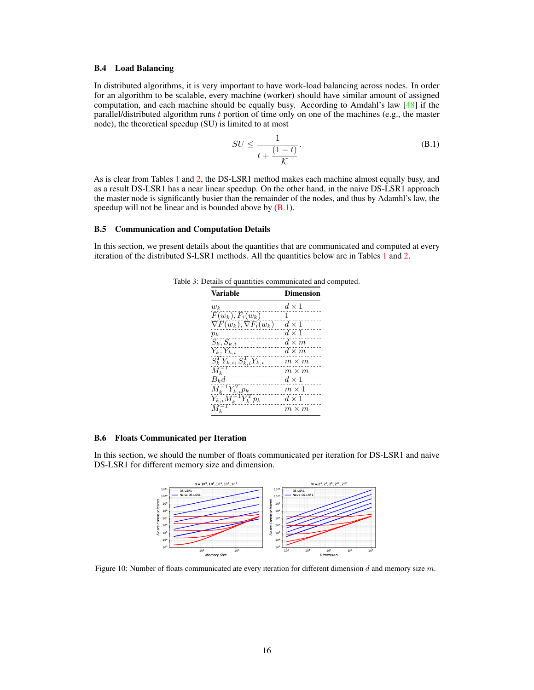#### B.4 Load Balancing

In distributed algorithms, it is very important to have work-load balancing across nodes. In order for an algorithm to be scalable, every machine (worker) should have similar amount of assigned computation, and each machine should be equally busy. According to Amdahl's law  $[48]$  if the parallel/distributed algorithm runs  $t$  portion of time only on one of the machines (e.g., the master node), the theoretical speedup (SU) is limited to at most

$$
SU \le \frac{1}{t + \frac{(1-t)}{\mathcal{K}}}.
$$
 (B.1)

As is clear from Tables 1 and 2, the DS-LSR1 method makes each machine almost equally busy, and as a result DS-LSR1 has a near linear speedup. On the other hand, in the naive DS-LSR1 approach the master node is significantly busier than the remainder of the nodes, and thus by Adamhl's law, the speedup will not be linear and is bounded above by  $(B.1)$ .

#### B.5 Communication and Computation Details

In this section, we present details about the quantities that are communicated and computed at every iteration of the distributed S-LSR1 methods. All the quantities below are in Tables 1 and 2.

| <b>Variable</b>                    | <b>Dimension</b> |
|------------------------------------|------------------|
| $w_k$                              | $d \times 1$     |
| $F(w_k), F_i(w_k)$                 | 1                |
| $\nabla F(w_k), \nabla F_i(w_k)$   | $d \times 1$     |
| $p_k$                              | $d \times 1$     |
| $S_k, S_{k,i}$                     | $d \times m$     |
| $Y_k, Y_{k,i}$                     | $d \times m$     |
| $S_k^T Y_{k,i}, S_{k,i}^T Y_{k,i}$ | $m \times m$     |
| $M_k^{-1}$                         | $m \times m$     |
| $B_k d$                            | $d \times 1$     |
| $M_k^{-1} Y_{k,i}^T p_k$           | $m \times 1$     |
| $Y_{k,i}M_k^{-1}Y_k^Tp_k$          | $d \times 1$     |
|                                    | $m \times m$     |

Table 3: Details of quantities communicated and computed.

## B.6 Floats Communicated per Iteration

In this section, we should the number of floats communicated per iteration for DS-LSR1 and naive DS-LSR1 for different memory size and dimension.



Figure 10: Number of floats communicated ate every iteration for different dimension d and memory size  $m$ .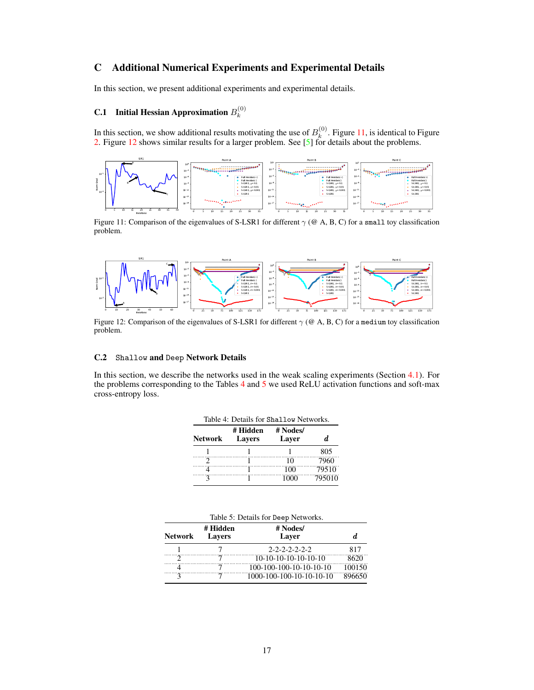## C Additional Numerical Experiments and Experimental Details

In this section, we present additional experiments and experimental details.

#### **C.1** Initial Hessian Approximation  $B_k^{(0)}$ k

In this section, we show additional results motivating the use of  $B_k^{(0)}$  $k^{(0)}$ . Figure 11, is identical to Figure 2. Figure 12 shows similar results for a larger problem. See [5] for details about the problems.



Figure 11: Comparison of the eigenvalues of S-LSR1 for different  $\gamma$  (@ A, B, C) for a small toy classification problem.



Figure 12: Comparison of the eigenvalues of S-LSR1 for different  $\gamma$  (@ A, B, C) for a medium toy classification problem.

## C.2 Shallow and Deep Network Details

In this section, we describe the networks used in the weak scaling experiments (Section 4.1). For the problems corresponding to the Tables 4 and 5 we used ReLU activation functions and soft-max cross-entropy loss.

| <b>Network</b> | # Hidden<br><b>Lavers</b> | # Nodes/<br>Laver | d.     |
|----------------|---------------------------|-------------------|--------|
|                |                           |                   | 805    |
|                |                           | 10                | 7960   |
|                |                           | 100               | 79510  |
|                |                           | 1000              | 795010 |

| Table 5: Details for Deep Networks. |                           |                          |        |  |  |
|-------------------------------------|---------------------------|--------------------------|--------|--|--|
| <b>Network</b>                      | # Hidden<br><b>Lavers</b> | # Nodes/<br>Laver        |        |  |  |
|                                     |                           | $2 - 2 - 2 - 2 - 2 - 2$  | 817    |  |  |
|                                     |                           | $10-10-10-10-10-10-10$   | 8620   |  |  |
|                                     |                           | 100-100-100-10-10-10-10  | 100150 |  |  |
|                                     |                           | 1000-100-100-10-10-10-10 | 896650 |  |  |